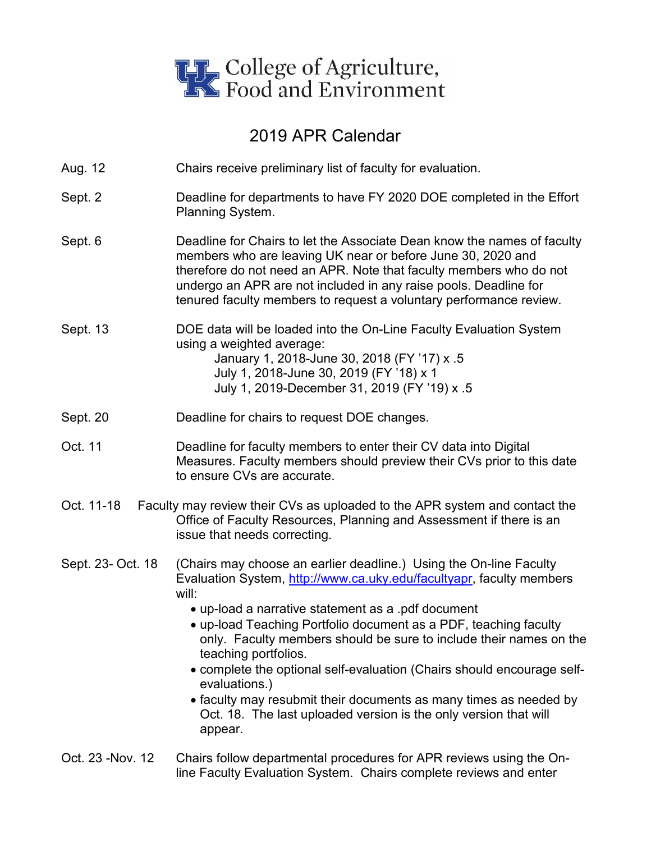

## 2019 APR Calendar

- Aug. 12 Chairs receive preliminary list of faculty for evaluation.
- Sept. 2 **Deadline for departments to have FY 2020 DOE completed in the Effort** Planning System.
- Sept. 6 Deadline for Chairs to let the Associate Dean know the names of faculty members who are leaving UK near or before June 30, 2020 and therefore do not need an APR. Note that faculty members who do not undergo an APR are not included in any raise pools. Deadline for tenured faculty members to request a voluntary performance review.
- Sept. 13 DOE data will be loaded into the On-Line Faculty Evaluation System using a weighted average: January 1, 2018-June 30, 2018 (FY '17) x .5 July 1, 2018-June 30, 2019 (FY '18) x 1 July 1, 2019-December 31, 2019 (FY '19) x .5
- Sept. 20 Deadline for chairs to request DOE changes.
- Oct. 11 Deadline for faculty members to enter their CV data into Digital Measures. Faculty members should preview their CVs prior to this date to ensure CVs are accurate.
- Oct. 11-18 Faculty may review their CVs as uploaded to the APR system and contact the Office of Faculty Resources, Planning and Assessment if there is an issue that needs correcting.
- Sept. 23- Oct. 18 (Chairs may choose an earlier deadline.) Using the On-line Faculty Evaluation System, [http://www.ca.uky.edu/facultyapr,](http://www.ca.uky.edu/facultyapr) faculty members will:
	- up-load a narrative statement as a .pdf document
	- up-load Teaching Portfolio document as a PDF, teaching faculty only. Faculty members should be sure to include their names on the teaching portfolios.
	- complete the optional self-evaluation (Chairs should encourage selfevaluations.)
	- faculty may resubmit their documents as many times as needed by Oct. 18. The last uploaded version is the only version that will appear.
- Oct. 23 -Nov. 12 Chairs follow departmental procedures for APR reviews using the Online Faculty Evaluation System. Chairs complete reviews and enter